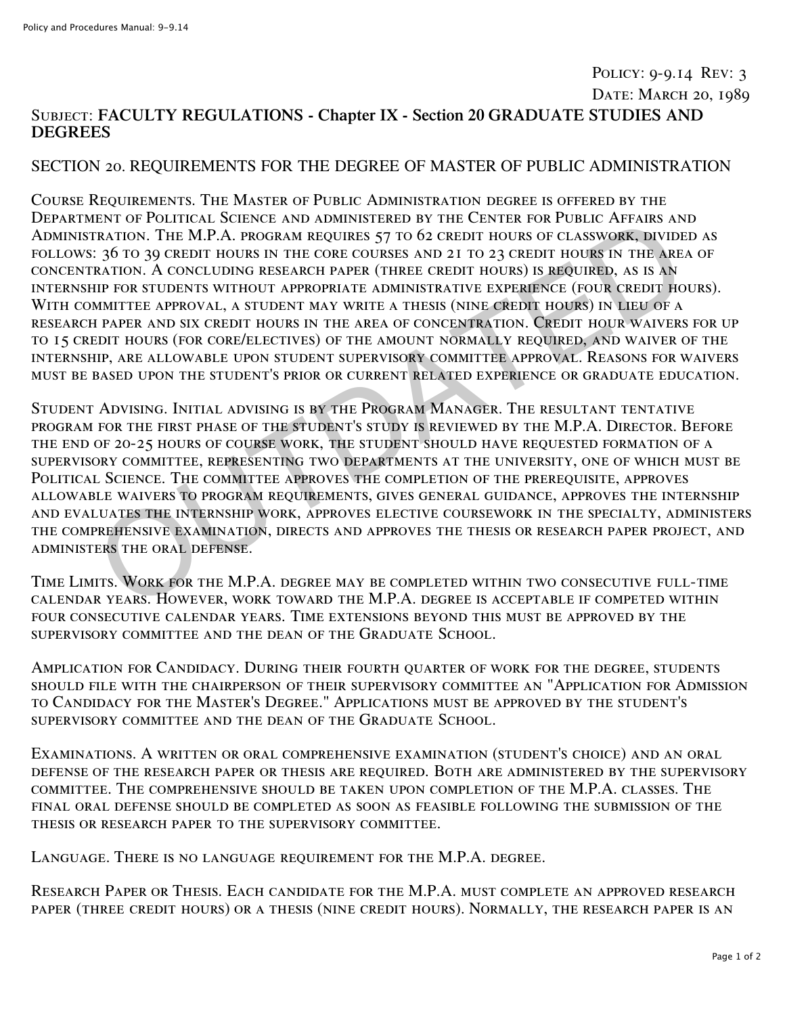## Policy: 9-9.14 Rev: 3 DATE: MARCH 20, 1989 Subject: **FACULTY REGULATIONS - Chapter IX - Section 20 GRADUATE STUDIES AND DEGREES**

## SECTION 20. REQUIREMENTS FOR THE DEGREE OF MASTER OF PUBLIC ADMINISTRATION

Course Requirements. The Master of Public Administration degree is offered by the Department of Political Science and administered by the Center for Public Affairs and Administration. The M.P.A. program requires 57 to 62 credit hours of classwork, divided as follows: 36 to 39 credit hours in the core courses and 21 to 23 credit hours in the area of concentration. A concluding research paper (three credit hours) is required, as is an internship for students without appropriate administrative experience (four credit hours). WITH COMMITTEE APPROVAL, A STUDENT MAY WRITE A THESIS (NINE CREDIT HOURS) IN LIEU OF A research paper and six credit hours in the area of concentration. Credit hour waivers for up to 15 credit hours (for core/electives) of the amount normally required, and waiver of the internship, are allowable upon student supervisory committee approval. Reasons for waivers must be based upon the student's prior or current related experience or graduate education. ENTO FOLICAL SCIENCE AND ADMISITERED BY THE CENTER ONE RESEARCH PAPAIRS AN THE SERVICAL AND RESEARCH AND RESEARCH AND RESEARCH AND RESEARCH AND RESEARCH AND RESEARCH AND RESEARCH AND RESEARCH AND RESEARCH IN THE AREA PATIO

Student Advising. Initial advising is by the Program Manager. The resultant tentative program for the first phase of the student's study is reviewed by the M.P.A. Director. Before the end of 20-25 hours of course work, the student should have requested formation of a supervisory committee, representing two departments at the university, one of which must be Political Science. The committee approves the completion of the prerequisite, approves allowable waivers to program requirements, gives general guidance, approves the internship and evaluates the internship work, approves elective coursework in the specialty, administers the comprehensive examination, directs and approves the thesis or research paper project, and administers the oral defense.

Time Limits. Work for the M.P.A. degree may be completed within two consecutive full-time calendar years. However, work toward the M.P.A. degree is acceptable if competed within four consecutive calendar years. Time extensions beyond this must be approved by the supervisory committee and the dean of the Graduate School.

Amplication for Candidacy. During their fourth quarter of work for the degree, students should file with the chairperson of their supervisory committee an "Application for Admission to Candidacy for the Master's Degree." Applications must be approved by the student's supervisory committee and the dean of the Graduate School.

Examinations. A written or oral comprehensive examination (student's choice) and an oral defense of the research paper or thesis are required. Both are administered by the supervisory committee. The comprehensive should be taken upon completion of the M.P.A. classes. The final oral defense should be completed as soon as feasible following the submission of the thesis or research paper to the supervisory committee.

Language. There is no language requirement for the M.P.A. degree.

Research Paper or Thesis. Each candidate for the M.P.A. must complete an approved research paper (three credit hours) or a thesis (nine credit hours). Normally, the research paper is an